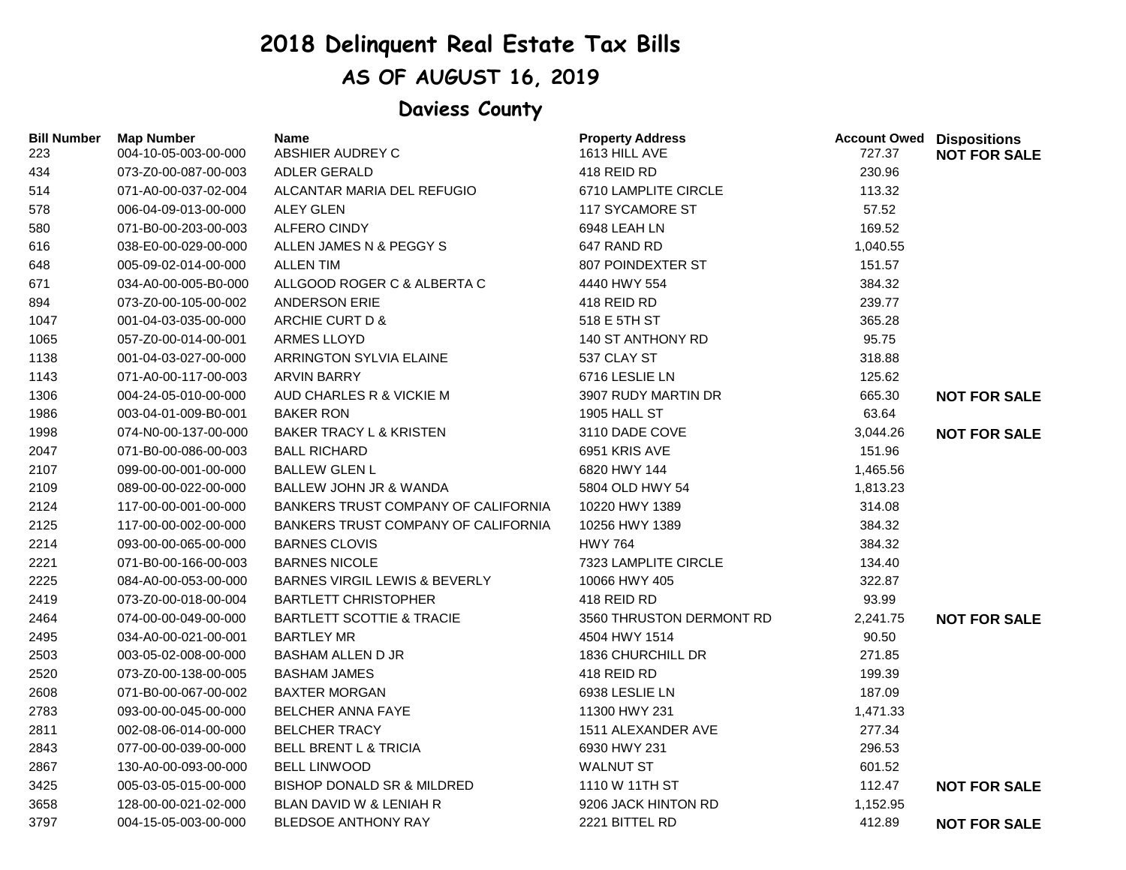## **2018 Delinquent Real Estate Tax Bills**

## **AS OF AUGUST 16, 2019**

## **Daviess County**

| <b>Bill Number</b><br>223 | <b>Map Number</b><br>004-10-05-003-00-000 | Name<br>ABSHIER AUDREY C                   | <b>Property Address</b><br>1613 HILL AVE | <b>Account Owed Dispositions</b><br>727.37 | <b>NOT FOR SALE</b> |
|---------------------------|-------------------------------------------|--------------------------------------------|------------------------------------------|--------------------------------------------|---------------------|
| 434                       | 073-Z0-00-087-00-003                      | <b>ADLER GERALD</b>                        | 418 REID RD                              | 230.96                                     |                     |
| 514                       | 071-A0-00-037-02-004                      | ALCANTAR MARIA DEL REFUGIO                 | 6710 LAMPLITE CIRCLE                     | 113.32                                     |                     |
| 578                       | 006-04-09-013-00-000                      | <b>ALEY GLEN</b>                           | 117 SYCAMORE ST                          | 57.52                                      |                     |
| 580                       | 071-B0-00-203-00-003                      | <b>ALFERO CINDY</b>                        | 6948 LEAH LN                             | 169.52                                     |                     |
| 616                       | 038-E0-00-029-00-000                      | ALLEN JAMES N & PEGGY S                    | 647 RAND RD                              | 1,040.55                                   |                     |
| 648                       | 005-09-02-014-00-000                      | <b>ALLEN TIM</b>                           | 807 POINDEXTER ST                        | 151.57                                     |                     |
| 671                       | 034-A0-00-005-B0-000                      | ALLGOOD ROGER C & ALBERTA C                | 4440 HWY 554                             | 384.32                                     |                     |
| 894                       | 073-Z0-00-105-00-002                      | <b>ANDERSON ERIE</b>                       | 418 REID RD                              | 239.77                                     |                     |
| 1047                      | 001-04-03-035-00-000                      | ARCHIE CURT D &                            | 518 E 5TH ST                             | 365.28                                     |                     |
| 1065                      | 057-Z0-00-014-00-001                      | <b>ARMES LLOYD</b>                         | <b>140 ST ANTHONY RD</b>                 | 95.75                                      |                     |
| 1138                      | 001-04-03-027-00-000                      | ARRINGTON SYLVIA ELAINE                    | 537 CLAY ST                              | 318.88                                     |                     |
| 1143                      | 071-A0-00-117-00-003                      | <b>ARVIN BARRY</b>                         | 6716 LESLIE LN                           | 125.62                                     |                     |
| 1306                      | 004-24-05-010-00-000                      | AUD CHARLES R & VICKIE M                   | 3907 RUDY MARTIN DR                      | 665.30                                     | <b>NOT FOR SALE</b> |
| 1986                      | 003-04-01-009-B0-001                      | <b>BAKER RON</b>                           | 1905 HALL ST                             | 63.64                                      |                     |
| 1998                      | 074-N0-00-137-00-000                      | <b>BAKER TRACY L &amp; KRISTEN</b>         | 3110 DADE COVE                           | 3,044.26                                   | <b>NOT FOR SALE</b> |
| 2047                      | 071-B0-00-086-00-003                      | <b>BALL RICHARD</b>                        | 6951 KRIS AVE                            | 151.96                                     |                     |
| 2107                      | 099-00-00-001-00-000                      | <b>BALLEW GLEN L</b>                       | 6820 HWY 144                             | 1,465.56                                   |                     |
| 2109                      | 089-00-00-022-00-000                      | <b>BALLEW JOHN JR &amp; WANDA</b>          | 5804 OLD HWY 54                          | 1,813.23                                   |                     |
| 2124                      | 117-00-00-001-00-000                      | <b>BANKERS TRUST COMPANY OF CALIFORNIA</b> | 10220 HWY 1389                           | 314.08                                     |                     |
| 2125                      | 117-00-00-002-00-000                      | BANKERS TRUST COMPANY OF CALIFORNIA        | 10256 HWY 1389                           | 384.32                                     |                     |
| 2214                      | 093-00-00-065-00-000                      | <b>BARNES CLOVIS</b>                       | <b>HWY 764</b>                           | 384.32                                     |                     |
| 2221                      | 071-B0-00-166-00-003                      | <b>BARNES NICOLE</b>                       | 7323 LAMPLITE CIRCLE                     | 134.40                                     |                     |
| 2225                      | 084-A0-00-053-00-000                      | <b>BARNES VIRGIL LEWIS &amp; BEVERLY</b>   | 10066 HWY 405                            | 322.87                                     |                     |
| 2419                      | 073-Z0-00-018-00-004                      | <b>BARTLETT CHRISTOPHER</b>                | 418 REID RD                              | 93.99                                      |                     |
| 2464                      | 074-00-00-049-00-000                      | <b>BARTLETT SCOTTIE &amp; TRACIE</b>       | 3560 THRUSTON DERMONT RD                 | 2,241.75                                   | <b>NOT FOR SALE</b> |
| 2495                      | 034-A0-00-021-00-001                      | <b>BARTLEY MR</b>                          | 4504 HWY 1514                            | 90.50                                      |                     |
| 2503                      | 003-05-02-008-00-000                      | <b>BASHAM ALLEN D JR</b>                   | 1836 CHURCHILL DR                        | 271.85                                     |                     |
| 2520                      | 073-Z0-00-138-00-005                      | <b>BASHAM JAMES</b>                        | 418 REID RD                              | 199.39                                     |                     |
| 2608                      | 071-B0-00-067-00-002                      | <b>BAXTER MORGAN</b>                       | 6938 LESLIE LN                           | 187.09                                     |                     |
| 2783                      | 093-00-00-045-00-000                      | <b>BELCHER ANNA FAYE</b>                   | 11300 HWY 231                            | 1,471.33                                   |                     |
| 2811                      | 002-08-06-014-00-000                      | <b>BELCHER TRACY</b>                       | 1511 ALEXANDER AVE                       | 277.34                                     |                     |
| 2843                      | 077-00-00-039-00-000                      | <b>BELL BRENT L &amp; TRICIA</b>           | 6930 HWY 231                             | 296.53                                     |                     |
| 2867                      | 130-A0-00-093-00-000                      | <b>BELL LINWOOD</b>                        | <b>WALNUT ST</b>                         | 601.52                                     |                     |
| 3425                      | 005-03-05-015-00-000                      | <b>BISHOP DONALD SR &amp; MILDRED</b>      | 1110 W 11TH ST                           | 112.47                                     | <b>NOT FOR SALE</b> |
| 3658                      | 128-00-00-021-02-000                      | BLAN DAVID W & LENIAH R                    | 9206 JACK HINTON RD                      | 1,152.95                                   |                     |
| 3797                      | 004-15-05-003-00-000                      | <b>BLEDSOE ANTHONY RAY</b>                 | 2221 BITTEL RD                           | 412.89                                     | <b>NOT FOR SALE</b> |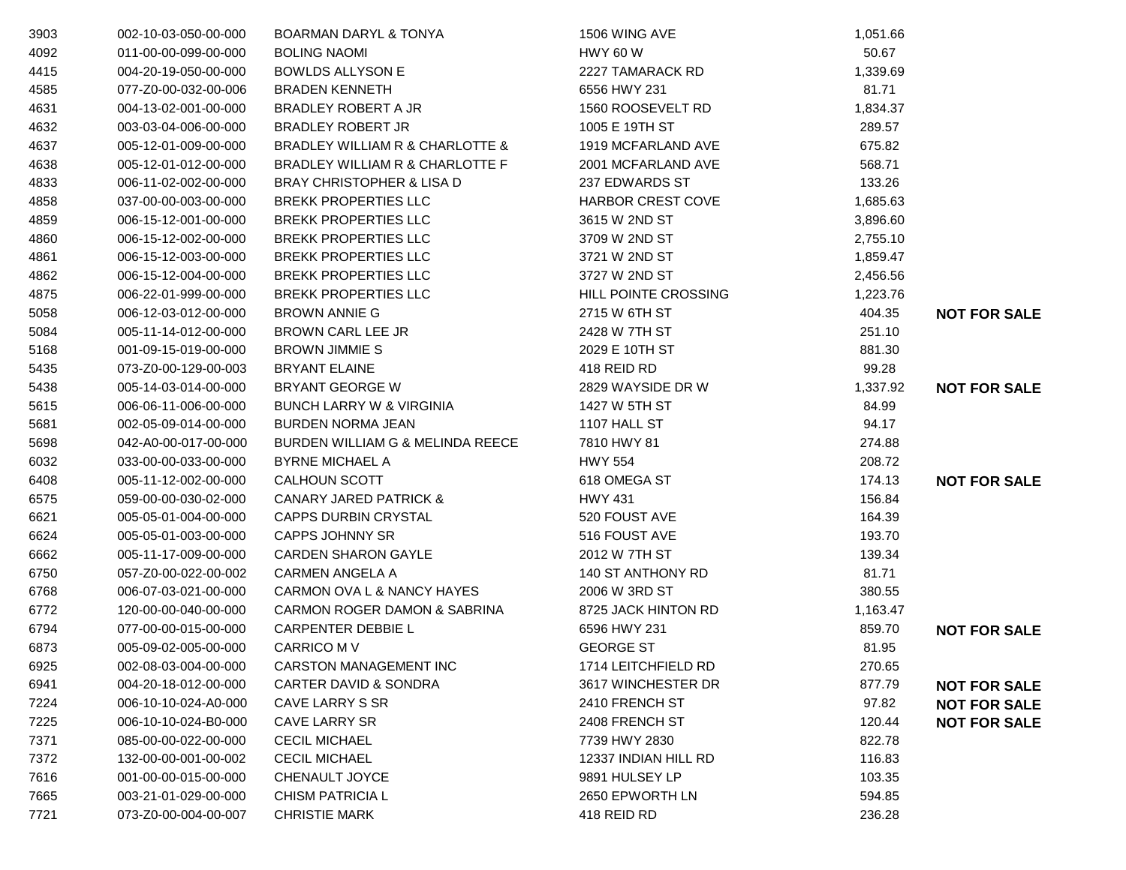| 3903 | 002-10-03-050-00-000 | <b>BOARMAN DARYL &amp; TONYA</b>     | 1506 WING AVE            | 1,051.66 |                     |
|------|----------------------|--------------------------------------|--------------------------|----------|---------------------|
| 4092 | 011-00-00-099-00-000 | <b>BOLING NAOMI</b>                  | <b>HWY 60 W</b>          | 50.67    |                     |
| 4415 | 004-20-19-050-00-000 | <b>BOWLDS ALLYSON E</b>              | 2227 TAMARACK RD         | 1,339.69 |                     |
| 4585 | 077-Z0-00-032-00-006 | <b>BRADEN KENNETH</b>                | 6556 HWY 231             | 81.71    |                     |
| 4631 | 004-13-02-001-00-000 | BRADLEY ROBERT A JR                  | 1560 ROOSEVELT RD        | 1,834.37 |                     |
| 4632 | 003-03-04-006-00-000 | <b>BRADLEY ROBERT JR</b>             | 1005 E 19TH ST           | 289.57   |                     |
| 4637 | 005-12-01-009-00-000 | BRADLEY WILLIAM R & CHARLOTTE &      | 1919 MCFARLAND AVE       | 675.82   |                     |
| 4638 | 005-12-01-012-00-000 | BRADLEY WILLIAM R & CHARLOTTE F      | 2001 MCFARLAND AVE       | 568.71   |                     |
| 4833 | 006-11-02-002-00-000 | <b>BRAY CHRISTOPHER &amp; LISA D</b> | 237 EDWARDS ST           | 133.26   |                     |
| 4858 | 037-00-00-003-00-000 | <b>BREKK PROPERTIES LLC</b>          | <b>HARBOR CREST COVE</b> | 1,685.63 |                     |
| 4859 | 006-15-12-001-00-000 | <b>BREKK PROPERTIES LLC</b>          | 3615 W 2ND ST            | 3,896.60 |                     |
| 4860 | 006-15-12-002-00-000 | <b>BREKK PROPERTIES LLC</b>          | 3709 W 2ND ST            | 2,755.10 |                     |
| 4861 | 006-15-12-003-00-000 | <b>BREKK PROPERTIES LLC</b>          | 3721 W 2ND ST            | 1,859.47 |                     |
| 4862 | 006-15-12-004-00-000 | <b>BREKK PROPERTIES LLC</b>          | 3727 W 2ND ST            | 2,456.56 |                     |
| 4875 | 006-22-01-999-00-000 | <b>BREKK PROPERTIES LLC</b>          | HILL POINTE CROSSING     | 1,223.76 |                     |
| 5058 | 006-12-03-012-00-000 | <b>BROWN ANNIE G</b>                 | 2715 W 6TH ST            | 404.35   | <b>NOT FOR SALE</b> |
| 5084 | 005-11-14-012-00-000 | BROWN CARL LEE JR                    | 2428 W 7TH ST            | 251.10   |                     |
| 5168 | 001-09-15-019-00-000 | <b>BROWN JIMMIE S</b>                | 2029 E 10TH ST           | 881.30   |                     |
| 5435 | 073-Z0-00-129-00-003 | <b>BRYANT ELAINE</b>                 | 418 REID RD              | 99.28    |                     |
| 5438 | 005-14-03-014-00-000 | <b>BRYANT GEORGE W</b>               | 2829 WAYSIDE DR W        | 1,337.92 | <b>NOT FOR SALE</b> |
| 5615 | 006-06-11-006-00-000 | <b>BUNCH LARRY W &amp; VIRGINIA</b>  | 1427 W 5TH ST            | 84.99    |                     |
| 5681 | 002-05-09-014-00-000 | <b>BURDEN NORMA JEAN</b>             | 1107 HALL ST             | 94.17    |                     |
| 5698 | 042-A0-00-017-00-000 | BURDEN WILLIAM G & MELINDA REECE     | 7810 HWY 81              | 274.88   |                     |
| 6032 | 033-00-00-033-00-000 | <b>BYRNE MICHAEL A</b>               | <b>HWY 554</b>           | 208.72   |                     |
| 6408 | 005-11-12-002-00-000 | CALHOUN SCOTT                        | 618 OMEGA ST             | 174.13   | <b>NOT FOR SALE</b> |
| 6575 | 059-00-00-030-02-000 | <b>CANARY JARED PATRICK &amp;</b>    | <b>HWY 431</b>           | 156.84   |                     |
| 6621 | 005-05-01-004-00-000 | <b>CAPPS DURBIN CRYSTAL</b>          | 520 FOUST AVE            | 164.39   |                     |
| 6624 | 005-05-01-003-00-000 | <b>CAPPS JOHNNY SR</b>               | 516 FOUST AVE            | 193.70   |                     |
| 6662 | 005-11-17-009-00-000 | <b>CARDEN SHARON GAYLE</b>           | 2012 W 7TH ST            | 139.34   |                     |
| 6750 | 057-Z0-00-022-00-002 | <b>CARMEN ANGELA A</b>               | 140 ST ANTHONY RD        | 81.71    |                     |
| 6768 | 006-07-03-021-00-000 | CARMON OVA L & NANCY HAYES           | 2006 W 3RD ST            | 380.55   |                     |
| 6772 | 120-00-00-040-00-000 | CARMON ROGER DAMON & SABRINA         | 8725 JACK HINTON RD      | 1,163.47 |                     |
| 6794 | 077-00-00-015-00-000 | CARPENTER DEBBIE L                   | 6596 HWY 231             | 859.70   | <b>NOT FOR SALE</b> |
| 6873 | 005-09-02-005-00-000 | <b>CARRICO M V</b>                   | <b>GEORGE ST</b>         | 81.95    |                     |
| 6925 | 002-08-03-004-00-000 | CARSTON MANAGEMENT INC               | 1714 LEITCHFIELD RD      | 270.65   |                     |
| 6941 | 004-20-18-012-00-000 | <b>CARTER DAVID &amp; SONDRA</b>     | 3617 WINCHESTER DR       | 877.79   | <b>NOT FOR SALE</b> |
| 7224 | 006-10-10-024-A0-000 | CAVE LARRY S SR                      | 2410 FRENCH ST           | 97.82    | <b>NOT FOR SALE</b> |
| 7225 | 006-10-10-024-B0-000 | CAVE LARRY SR                        | 2408 FRENCH ST           | 120.44   | <b>NOT FOR SALE</b> |
| 7371 | 085-00-00-022-00-000 | <b>CECIL MICHAEL</b>                 | 7739 HWY 2830            | 822.78   |                     |
| 7372 | 132-00-00-001-00-002 | <b>CECIL MICHAEL</b>                 | 12337 INDIAN HILL RD     | 116.83   |                     |
| 7616 | 001-00-00-015-00-000 | CHENAULT JOYCE                       | 9891 HULSEY LP           | 103.35   |                     |
| 7665 | 003-21-01-029-00-000 | <b>CHISM PATRICIA L</b>              | 2650 EPWORTH LN          | 594.85   |                     |
| 7721 | 073-Z0-00-004-00-007 | <b>CHRISTIE MARK</b>                 | 418 REID RD              | 236.28   |                     |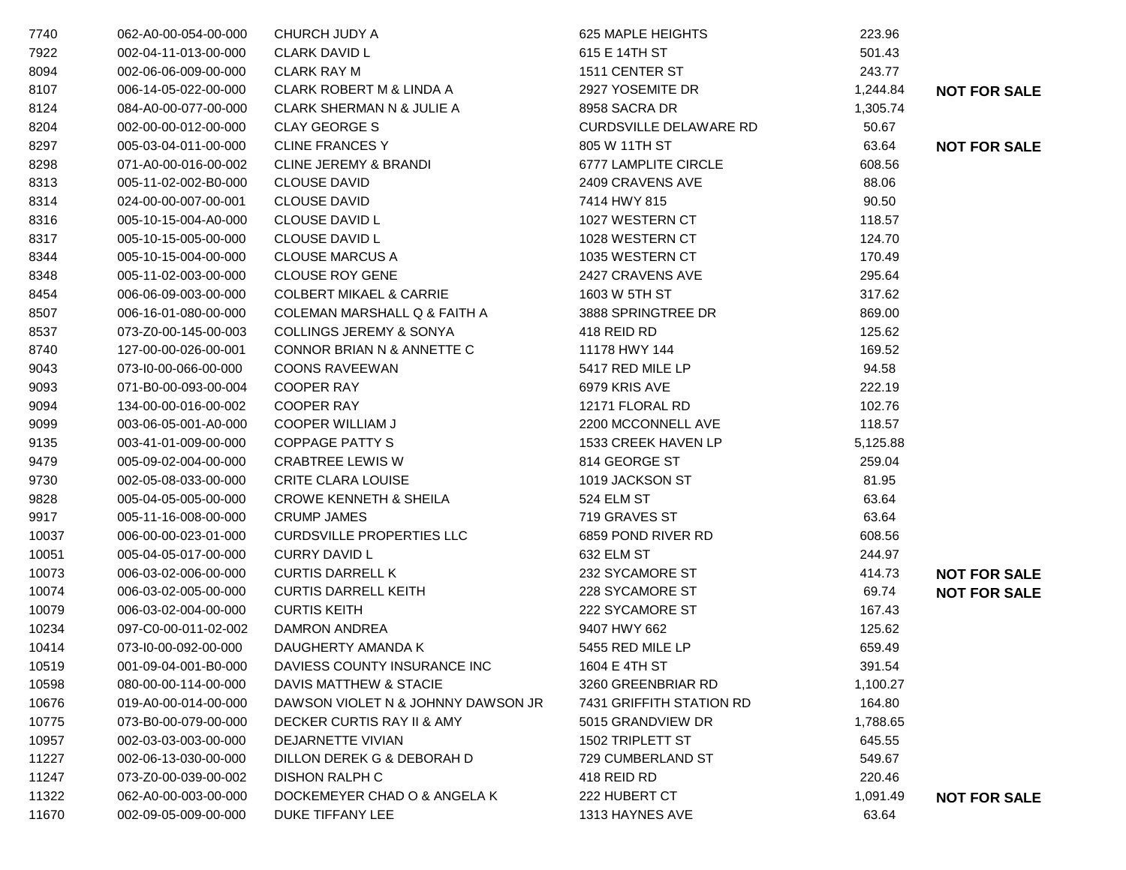| 7740  | 062-A0-00-054-00-000 | CHURCH JUDY A                      | 625 MAPLE HEIGHTS             | 223.96   |                     |
|-------|----------------------|------------------------------------|-------------------------------|----------|---------------------|
| 7922  | 002-04-11-013-00-000 | <b>CLARK DAVID L</b>               | 615 E 14TH ST                 | 501.43   |                     |
| 8094  | 002-06-06-009-00-000 | <b>CLARK RAY M</b>                 | 1511 CENTER ST                | 243.77   |                     |
| 8107  | 006-14-05-022-00-000 | CLARK ROBERT M & LINDA A           | 2927 YOSEMITE DR              | 1,244.84 | <b>NOT FOR SALE</b> |
| 8124  | 084-A0-00-077-00-000 | CLARK SHERMAN N & JULIE A          | 8958 SACRA DR                 | 1,305.74 |                     |
| 8204  | 002-00-00-012-00-000 | <b>CLAY GEORGE S</b>               | <b>CURDSVILLE DELAWARE RD</b> | 50.67    |                     |
| 8297  | 005-03-04-011-00-000 | <b>CLINE FRANCES Y</b>             | 805 W 11TH ST                 | 63.64    | <b>NOT FOR SALE</b> |
| 8298  | 071-A0-00-016-00-002 | <b>CLINE JEREMY &amp; BRANDI</b>   | 6777 LAMPLITE CIRCLE          | 608.56   |                     |
| 8313  | 005-11-02-002-B0-000 | <b>CLOUSE DAVID</b>                | 2409 CRAVENS AVE              | 88.06    |                     |
| 8314  | 024-00-00-007-00-001 | <b>CLOUSE DAVID</b>                | 7414 HWY 815                  | 90.50    |                     |
| 8316  | 005-10-15-004-A0-000 | CLOUSE DAVID L                     | 1027 WESTERN CT               | 118.57   |                     |
| 8317  | 005-10-15-005-00-000 | <b>CLOUSE DAVID L</b>              | 1028 WESTERN CT               | 124.70   |                     |
| 8344  | 005-10-15-004-00-000 | <b>CLOUSE MARCUS A</b>             | 1035 WESTERN CT               | 170.49   |                     |
| 8348  | 005-11-02-003-00-000 | <b>CLOUSE ROY GENE</b>             | 2427 CRAVENS AVE              | 295.64   |                     |
| 8454  | 006-06-09-003-00-000 | <b>COLBERT MIKAEL &amp; CARRIE</b> | 1603 W 5TH ST                 | 317.62   |                     |
| 8507  | 006-16-01-080-00-000 | COLEMAN MARSHALL Q & FAITH A       | 3888 SPRINGTREE DR            | 869.00   |                     |
| 8537  | 073-Z0-00-145-00-003 | <b>COLLINGS JEREMY &amp; SONYA</b> | 418 REID RD                   | 125.62   |                     |
| 8740  | 127-00-00-026-00-001 | CONNOR BRIAN N & ANNETTE C         | 11178 HWY 144                 | 169.52   |                     |
| 9043  | 073-I0-00-066-00-000 | <b>COONS RAVEEWAN</b>              | 5417 RED MILE LP              | 94.58    |                     |
| 9093  | 071-B0-00-093-00-004 | <b>COOPER RAY</b>                  | 6979 KRIS AVE                 | 222.19   |                     |
| 9094  | 134-00-00-016-00-002 | <b>COOPER RAY</b>                  | 12171 FLORAL RD               | 102.76   |                     |
| 9099  | 003-06-05-001-A0-000 | <b>COOPER WILLIAM J</b>            | 2200 MCCONNELL AVE            | 118.57   |                     |
| 9135  | 003-41-01-009-00-000 | COPPAGE PATTY S                    | 1533 CREEK HAVEN LP           | 5,125.88 |                     |
| 9479  | 005-09-02-004-00-000 | <b>CRABTREE LEWIS W</b>            | 814 GEORGE ST                 | 259.04   |                     |
| 9730  | 002-05-08-033-00-000 | <b>CRITE CLARA LOUISE</b>          | 1019 JACKSON ST               | 81.95    |                     |
| 9828  | 005-04-05-005-00-000 | <b>CROWE KENNETH &amp; SHEILA</b>  | 524 ELM ST                    | 63.64    |                     |
| 9917  | 005-11-16-008-00-000 | <b>CRUMP JAMES</b>                 | 719 GRAVES ST                 | 63.64    |                     |
| 10037 | 006-00-00-023-01-000 | <b>CURDSVILLE PROPERTIES LLC</b>   | 6859 POND RIVER RD            | 608.56   |                     |
| 10051 | 005-04-05-017-00-000 | <b>CURRY DAVID L</b>               | 632 ELM ST                    | 244.97   |                     |
| 10073 | 006-03-02-006-00-000 | <b>CURTIS DARRELL K</b>            | 232 SYCAMORE ST               | 414.73   | <b>NOT FOR SALE</b> |
| 10074 | 006-03-02-005-00-000 | <b>CURTIS DARRELL KEITH</b>        | 228 SYCAMORE ST               | 69.74    | <b>NOT FOR SALE</b> |
| 10079 | 006-03-02-004-00-000 | <b>CURTIS KEITH</b>                | 222 SYCAMORE ST               | 167.43   |                     |
| 10234 | 097-C0-00-011-02-002 | DAMRON ANDREA                      | 9407 HWY 662                  | 125.62   |                     |
| 10414 | 073-I0-00-092-00-000 | DAUGHERTY AMANDA K                 | 5455 RED MILE LP              | 659.49   |                     |
| 10519 | 001-09-04-001-B0-000 | DAVIESS COUNTY INSURANCE INC       | 1604 E 4TH ST                 | 391.54   |                     |
| 10598 | 080-00-00-114-00-000 | DAVIS MATTHEW & STACIE             | 3260 GREENBRIAR RD            | 1,100.27 |                     |
| 10676 | 019-A0-00-014-00-000 | DAWSON VIOLET N & JOHNNY DAWSON JR | 7431 GRIFFITH STATION RD      | 164.80   |                     |
| 10775 | 073-B0-00-079-00-000 | DECKER CURTIS RAY II & AMY         | 5015 GRANDVIEW DR             | 1,788.65 |                     |
| 10957 | 002-03-03-003-00-000 | DEJARNETTE VIVIAN                  | 1502 TRIPLETT ST              | 645.55   |                     |
| 11227 | 002-06-13-030-00-000 | DILLON DEREK G & DEBORAH D         | 729 CUMBERLAND ST             | 549.67   |                     |
| 11247 | 073-Z0-00-039-00-002 | <b>DISHON RALPH C</b>              | 418 REID RD                   | 220.46   |                     |
| 11322 | 062-A0-00-003-00-000 | DOCKEMEYER CHAD O & ANGELA K       | 222 HUBERT CT                 | 1,091.49 | <b>NOT FOR SALE</b> |
| 11670 | 002-09-05-009-00-000 | DUKE TIFFANY LEE                   | 1313 HAYNES AVE               | 63.64    |                     |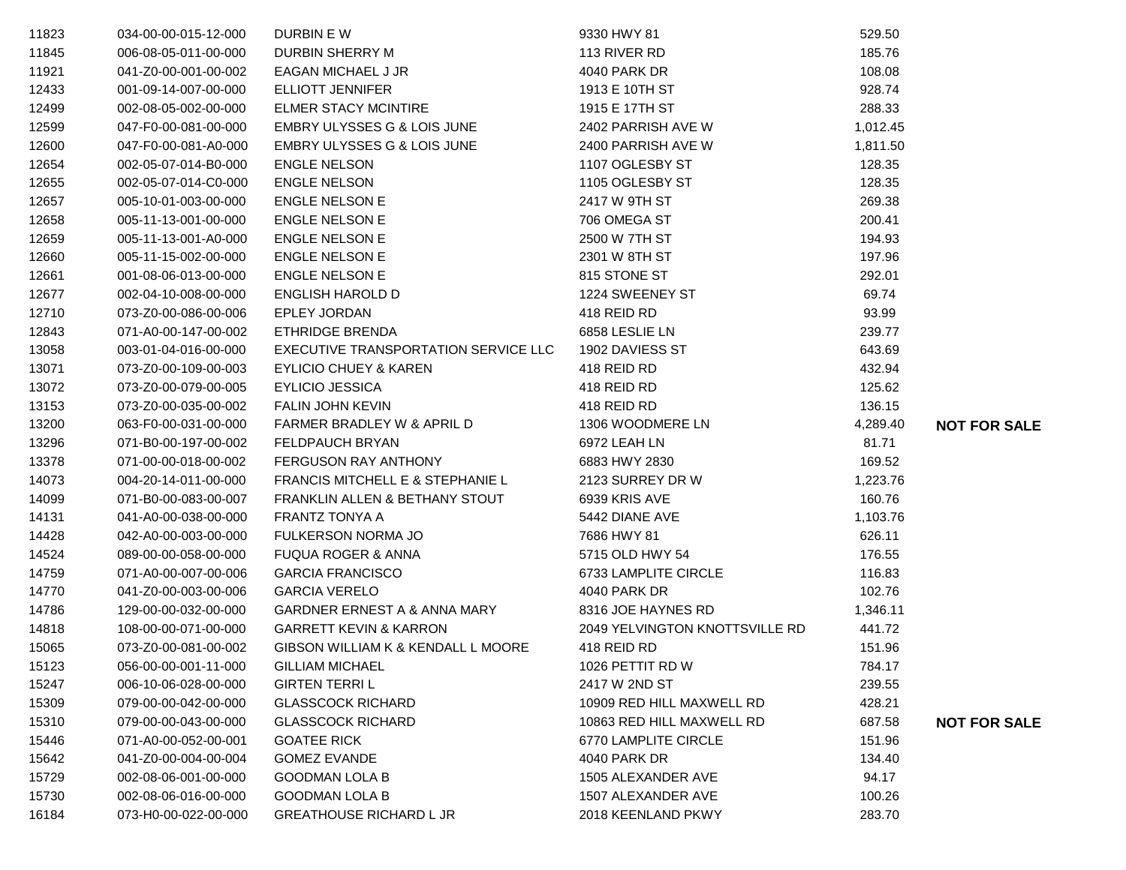| 11823 | 034-00-00-015-12-000 | DURBIN E W                                  | 9330 HWY 81                    | 529.50   |                     |
|-------|----------------------|---------------------------------------------|--------------------------------|----------|---------------------|
| 11845 | 006-08-05-011-00-000 | DURBIN SHERRY M                             | 113 RIVER RD                   | 185.76   |                     |
| 11921 | 041-Z0-00-001-00-002 | EAGAN MICHAEL J JR                          | 4040 PARK DR                   | 108.08   |                     |
| 12433 | 001-09-14-007-00-000 | <b>ELLIOTT JENNIFER</b>                     | 1913 E 10TH ST                 | 928.74   |                     |
| 12499 | 002-08-05-002-00-000 | <b>ELMER STACY MCINTIRE</b>                 | 1915 E 17TH ST                 | 288.33   |                     |
| 12599 | 047-F0-00-081-00-000 | EMBRY ULYSSES G & LOIS JUNE                 | 2402 PARRISH AVE W             | 1,012.45 |                     |
| 12600 | 047-F0-00-081-A0-000 | EMBRY ULYSSES G & LOIS JUNE                 | 2400 PARRISH AVE W             | 1,811.50 |                     |
| 12654 | 002-05-07-014-B0-000 | <b>ENGLE NELSON</b>                         | 1107 OGLESBY ST                | 128.35   |                     |
| 12655 | 002-05-07-014-C0-000 | <b>ENGLE NELSON</b>                         | 1105 OGLESBY ST                | 128.35   |                     |
| 12657 | 005-10-01-003-00-000 | <b>ENGLE NELSON E</b>                       | 2417 W 9TH ST                  | 269.38   |                     |
| 12658 | 005-11-13-001-00-000 | <b>ENGLE NELSON E</b>                       | 706 OMEGA ST                   | 200.41   |                     |
| 12659 | 005-11-13-001-A0-000 | <b>ENGLE NELSON E</b>                       | 2500 W 7TH ST                  | 194.93   |                     |
| 12660 | 005-11-15-002-00-000 | <b>ENGLE NELSON E</b>                       | 2301 W 8TH ST                  | 197.96   |                     |
| 12661 | 001-08-06-013-00-000 | <b>ENGLE NELSON E</b>                       | 815 STONE ST                   | 292.01   |                     |
| 12677 | 002-04-10-008-00-000 | ENGLISH HAROLD D                            | 1224 SWEENEY ST                | 69.74    |                     |
| 12710 | 073-Z0-00-086-00-006 | <b>EPLEY JORDAN</b>                         | 418 REID RD                    | 93.99    |                     |
| 12843 | 071-A0-00-147-00-002 | ETHRIDGE BRENDA                             | 6858 LESLIE LN                 | 239.77   |                     |
| 13058 | 003-01-04-016-00-000 | EXECUTIVE TRANSPORTATION SERVICE LLC        | 1902 DAVIESS ST                | 643.69   |                     |
| 13071 | 073-Z0-00-109-00-003 | <b>EYLICIO CHUEY &amp; KAREN</b>            | 418 REID RD                    | 432.94   |                     |
| 13072 | 073-Z0-00-079-00-005 | <b>EYLICIO JESSICA</b>                      | 418 REID RD                    | 125.62   |                     |
| 13153 | 073-Z0-00-035-00-002 | <b>FALIN JOHN KEVIN</b>                     | 418 REID RD                    | 136.15   |                     |
| 13200 | 063-F0-00-031-00-000 | FARMER BRADLEY W & APRIL D                  | 1306 WOODMERE LN               | 4,289.40 | <b>NOT FOR SALE</b> |
| 13296 | 071-B0-00-197-00-002 | FELDPAUCH BRYAN                             | 6972 LEAH LN                   | 81.71    |                     |
| 13378 | 071-00-00-018-00-002 | <b>FERGUSON RAY ANTHONY</b>                 | 6883 HWY 2830                  | 169.52   |                     |
| 14073 | 004-20-14-011-00-000 | <b>FRANCIS MITCHELL E &amp; STEPHANIE L</b> | 2123 SURREY DR W               | 1,223.76 |                     |
| 14099 | 071-B0-00-083-00-007 | FRANKLIN ALLEN & BETHANY STOUT              | 6939 KRIS AVE                  | 160.76   |                     |
| 14131 | 041-A0-00-038-00-000 | FRANTZ TONYA A                              | 5442 DIANE AVE                 | 1,103.76 |                     |
| 14428 | 042-A0-00-003-00-000 | FULKERSON NORMA JO                          | 7686 HWY 81                    | 626.11   |                     |
| 14524 | 089-00-00-058-00-000 | <b>FUQUA ROGER &amp; ANNA</b>               | 5715 OLD HWY 54                | 176.55   |                     |
| 14759 | 071-A0-00-007-00-006 | <b>GARCIA FRANCISCO</b>                     | 6733 LAMPLITE CIRCLE           | 116.83   |                     |
| 14770 | 041-Z0-00-003-00-006 | <b>GARCIA VERELO</b>                        | 4040 PARK DR                   | 102.76   |                     |
| 14786 | 129-00-00-032-00-000 | GARDNER ERNEST A & ANNA MARY                | 8316 JOE HAYNES RD             | 1,346.11 |                     |
| 14818 | 108-00-00-071-00-000 | <b>GARRETT KEVIN &amp; KARRON</b>           | 2049 YELVINGTON KNOTTSVILLE RD | 441.72   |                     |
| 15065 | 073-Z0-00-081-00-002 | GIBSON WILLIAM K & KENDALL L MOORE          | 418 REID RD                    | 151.96   |                     |
| 15123 | 056-00-00-001-11-000 | <b>GILLIAM MICHAEL</b>                      | 1026 PETTIT RD W               | 784.17   |                     |
| 15247 | 006-10-06-028-00-000 | <b>GIRTEN TERRIL</b>                        | 2417 W 2ND ST                  | 239.55   |                     |
| 15309 | 079-00-00-042-00-000 | <b>GLASSCOCK RICHARD</b>                    | 10909 RED HILL MAXWELL RD      | 428.21   |                     |
| 15310 | 079-00-00-043-00-000 | <b>GLASSCOCK RICHARD</b>                    | 10863 RED HILL MAXWELL RD      | 687.58   | <b>NOT FOR SALE</b> |
| 15446 | 071-A0-00-052-00-001 | <b>GOATEE RICK</b>                          | 6770 LAMPLITE CIRCLE           | 151.96   |                     |
| 15642 | 041-Z0-00-004-00-004 | <b>GOMEZ EVANDE</b>                         | 4040 PARK DR                   | 134.40   |                     |
| 15729 | 002-08-06-001-00-000 | <b>GOODMAN LOLA B</b>                       | 1505 ALEXANDER AVE             | 94.17    |                     |
| 15730 | 002-08-06-016-00-000 | <b>GOODMAN LOLA B</b>                       | 1507 ALEXANDER AVE             | 100.26   |                     |
| 16184 | 073-H0-00-022-00-000 | <b>GREATHOUSE RICHARD L JR</b>              | 2018 KEENLAND PKWY             | 283.70   |                     |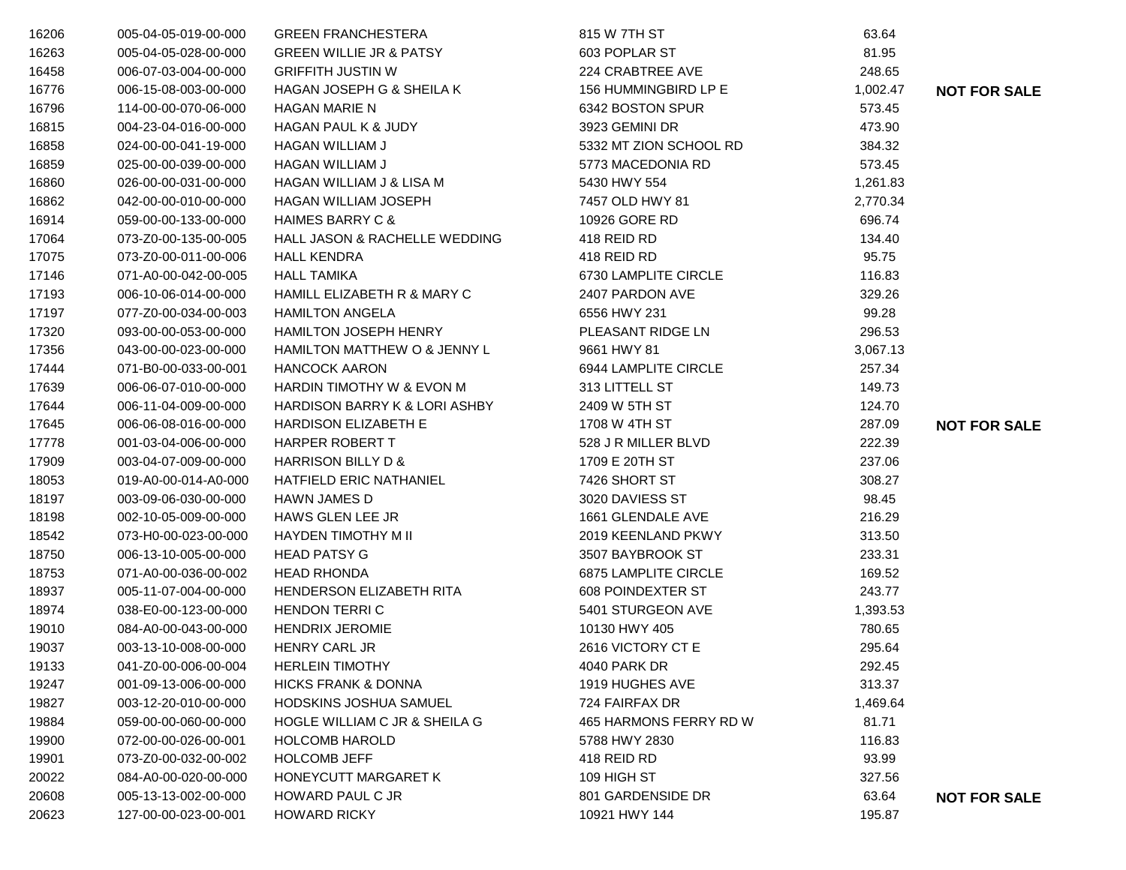| 16206 | 005-04-05-019-00-000 | <b>GREEN FRANCHESTERA</b>                | 815 W 7TH ST           | 63.64    |                     |
|-------|----------------------|------------------------------------------|------------------------|----------|---------------------|
| 16263 | 005-04-05-028-00-000 | <b>GREEN WILLIE JR &amp; PATSY</b>       | 603 POPLAR ST          | 81.95    |                     |
| 16458 | 006-07-03-004-00-000 | <b>GRIFFITH JUSTIN W</b>                 | 224 CRABTREE AVE       | 248.65   |                     |
| 16776 | 006-15-08-003-00-000 | HAGAN JOSEPH G & SHEILA K                | 156 HUMMINGBIRD LP E   | 1,002.47 | <b>NOT FOR SALE</b> |
| 16796 | 114-00-00-070-06-000 | <b>HAGAN MARIE N</b>                     | 6342 BOSTON SPUR       | 573.45   |                     |
| 16815 | 004-23-04-016-00-000 | <b>HAGAN PAUL K &amp; JUDY</b>           | 3923 GEMINI DR         | 473.90   |                     |
| 16858 | 024-00-00-041-19-000 | <b>HAGAN WILLIAM J</b>                   | 5332 MT ZION SCHOOL RD | 384.32   |                     |
| 16859 | 025-00-00-039-00-000 | <b>HAGAN WILLIAM J</b>                   | 5773 MACEDONIA RD      | 573.45   |                     |
| 16860 | 026-00-00-031-00-000 | <b>HAGAN WILLIAM J &amp; LISA M</b>      | 5430 HWY 554           | 1,261.83 |                     |
| 16862 | 042-00-00-010-00-000 | HAGAN WILLIAM JOSEPH                     | 7457 OLD HWY 81        | 2,770.34 |                     |
| 16914 | 059-00-00-133-00-000 | <b>HAIMES BARRY C &amp;</b>              | 10926 GORE RD          | 696.74   |                     |
| 17064 | 073-Z0-00-135-00-005 | HALL JASON & RACHELLE WEDDING            | 418 REID RD            | 134.40   |                     |
| 17075 | 073-Z0-00-011-00-006 | <b>HALL KENDRA</b>                       | 418 REID RD            | 95.75    |                     |
| 17146 | 071-A0-00-042-00-005 | <b>HALL TAMIKA</b>                       | 6730 LAMPLITE CIRCLE   | 116.83   |                     |
| 17193 | 006-10-06-014-00-000 | HAMILL ELIZABETH R & MARY C              | 2407 PARDON AVE        | 329.26   |                     |
| 17197 | 077-Z0-00-034-00-003 | <b>HAMILTON ANGELA</b>                   | 6556 HWY 231           | 99.28    |                     |
| 17320 | 093-00-00-053-00-000 | <b>HAMILTON JOSEPH HENRY</b>             | PLEASANT RIDGE LN      | 296.53   |                     |
| 17356 | 043-00-00-023-00-000 | HAMILTON MATTHEW O & JENNY L             | 9661 HWY 81            | 3,067.13 |                     |
| 17444 | 071-B0-00-033-00-001 | <b>HANCOCK AARON</b>                     | 6944 LAMPLITE CIRCLE   | 257.34   |                     |
| 17639 | 006-06-07-010-00-000 | HARDIN TIMOTHY W & EVON M                | 313 LITTELL ST         | 149.73   |                     |
| 17644 | 006-11-04-009-00-000 | <b>HARDISON BARRY K &amp; LORI ASHBY</b> | 2409 W 5TH ST          | 124.70   |                     |
| 17645 | 006-06-08-016-00-000 | <b>HARDISON ELIZABETH E</b>              | 1708 W 4TH ST          | 287.09   | <b>NOT FOR SALE</b> |
| 17778 | 001-03-04-006-00-000 | <b>HARPER ROBERT T</b>                   | 528 J R MILLER BLVD    | 222.39   |                     |
| 17909 | 003-04-07-009-00-000 | <b>HARRISON BILLY D &amp;</b>            | 1709 E 20TH ST         | 237.06   |                     |
| 18053 | 019-A0-00-014-A0-000 | <b>HATFIELD ERIC NATHANIEL</b>           | 7426 SHORT ST          | 308.27   |                     |
| 18197 | 003-09-06-030-00-000 | <b>HAWN JAMES D</b>                      | 3020 DAVIESS ST        | 98.45    |                     |
| 18198 | 002-10-05-009-00-000 | HAWS GLEN LEE JR                         | 1661 GLENDALE AVE      | 216.29   |                     |
| 18542 | 073-H0-00-023-00-000 | HAYDEN TIMOTHY M II                      | 2019 KEENLAND PKWY     | 313.50   |                     |
| 18750 | 006-13-10-005-00-000 | <b>HEAD PATSY G</b>                      | 3507 BAYBROOK ST       | 233.31   |                     |
| 18753 | 071-A0-00-036-00-002 | <b>HEAD RHONDA</b>                       | 6875 LAMPLITE CIRCLE   | 169.52   |                     |
| 18937 | 005-11-07-004-00-000 | <b>HENDERSON ELIZABETH RITA</b>          | 608 POINDEXTER ST      | 243.77   |                     |
| 18974 | 038-E0-00-123-00-000 | <b>HENDON TERRIC</b>                     | 5401 STURGEON AVE      | 1,393.53 |                     |
| 19010 | 084-A0-00-043-00-000 | <b>HENDRIX JEROMIE</b>                   | 10130 HWY 405          | 780.65   |                     |
| 19037 | 003-13-10-008-00-000 | <b>HENRY CARL JR</b>                     | 2616 VICTORY CT E      | 295.64   |                     |
| 19133 | 041-Z0-00-006-00-004 | <b>HERLEIN TIMOTHY</b>                   | 4040 PARK DR           | 292.45   |                     |
| 19247 | 001-09-13-006-00-000 | <b>HICKS FRANK &amp; DONNA</b>           | 1919 HUGHES AVE        | 313.37   |                     |
| 19827 | 003-12-20-010-00-000 | HODSKINS JOSHUA SAMUEL                   | 724 FAIRFAX DR         | 1,469.64 |                     |
| 19884 | 059-00-00-060-00-000 | HOGLE WILLIAM C JR & SHEILA G            | 465 HARMONS FERRY RD W | 81.71    |                     |
| 19900 | 072-00-00-026-00-001 | <b>HOLCOMB HAROLD</b>                    | 5788 HWY 2830          | 116.83   |                     |
| 19901 | 073-Z0-00-032-00-002 | <b>HOLCOMB JEFF</b>                      | 418 REID RD            | 93.99    |                     |
| 20022 | 084-A0-00-020-00-000 | HONEYCUTT MARGARET K                     | 109 HIGH ST            | 327.56   |                     |
| 20608 | 005-13-13-002-00-000 | <b>HOWARD PAUL C JR</b>                  | 801 GARDENSIDE DR      | 63.64    | <b>NOT FOR SALE</b> |
| 20623 | 127-00-00-023-00-001 | <b>HOWARD RICKY</b>                      | 10921 HWY 144          | 195.87   |                     |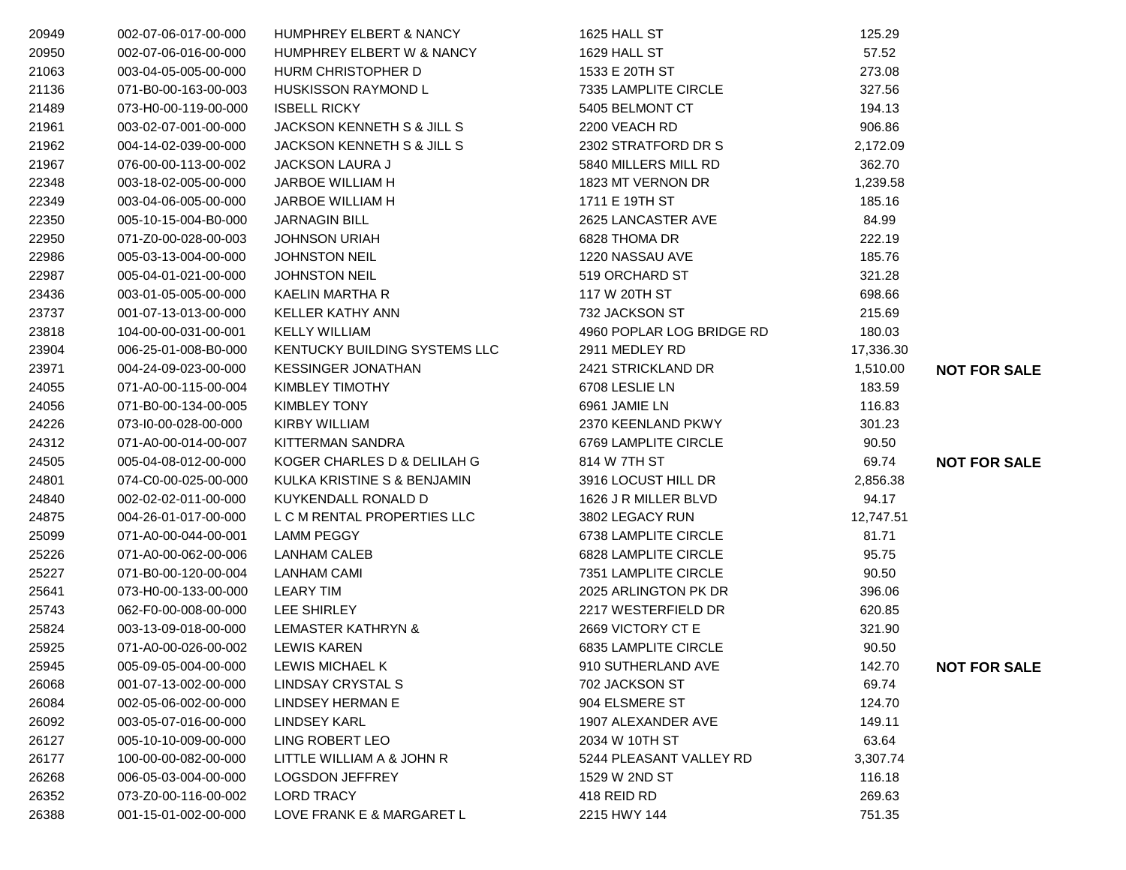| 20949 | 002-07-06-017-00-000 | <b>HUMPHREY ELBERT &amp; NANCY</b> | 1625 HALL ST              | 125.29    |                     |
|-------|----------------------|------------------------------------|---------------------------|-----------|---------------------|
| 20950 | 002-07-06-016-00-000 | HUMPHREY ELBERT W & NANCY          | 1629 HALL ST              | 57.52     |                     |
| 21063 | 003-04-05-005-00-000 | HURM CHRISTOPHER D                 | 1533 E 20TH ST            | 273.08    |                     |
| 21136 | 071-B0-00-163-00-003 | <b>HUSKISSON RAYMOND L</b>         | 7335 LAMPLITE CIRCLE      | 327.56    |                     |
| 21489 | 073-H0-00-119-00-000 | <b>ISBELL RICKY</b>                | 5405 BELMONT CT           | 194.13    |                     |
| 21961 | 003-02-07-001-00-000 | JACKSON KENNETH S & JILL S         | 2200 VEACH RD             | 906.86    |                     |
| 21962 | 004-14-02-039-00-000 | JACKSON KENNETH S & JILL S         | 2302 STRATFORD DR S       | 2,172.09  |                     |
| 21967 | 076-00-00-113-00-002 | <b>JACKSON LAURA J</b>             | 5840 MILLERS MILL RD      | 362.70    |                     |
| 22348 | 003-18-02-005-00-000 | JARBOE WILLIAM H                   | 1823 MT VERNON DR         | 1,239.58  |                     |
| 22349 | 003-04-06-005-00-000 | JARBOE WILLIAM H                   | 1711 E 19TH ST            | 185.16    |                     |
| 22350 | 005-10-15-004-B0-000 | <b>JARNAGIN BILL</b>               | 2625 LANCASTER AVE        | 84.99     |                     |
| 22950 | 071-Z0-00-028-00-003 | <b>JOHNSON URIAH</b>               | 6828 THOMA DR             | 222.19    |                     |
| 22986 | 005-03-13-004-00-000 | <b>JOHNSTON NEIL</b>               | 1220 NASSAU AVE           | 185.76    |                     |
| 22987 | 005-04-01-021-00-000 | <b>JOHNSTON NEIL</b>               | 519 ORCHARD ST            | 321.28    |                     |
| 23436 | 003-01-05-005-00-000 | KAELIN MARTHA R                    | 117 W 20TH ST             | 698.66    |                     |
| 23737 | 001-07-13-013-00-000 | KELLER KATHY ANN                   | 732 JACKSON ST            | 215.69    |                     |
| 23818 | 104-00-00-031-00-001 | <b>KELLY WILLIAM</b>               | 4960 POPLAR LOG BRIDGE RD | 180.03    |                     |
| 23904 | 006-25-01-008-B0-000 | KENTUCKY BUILDING SYSTEMS LLC      | 2911 MEDLEY RD            | 17,336.30 |                     |
| 23971 | 004-24-09-023-00-000 | <b>KESSINGER JONATHAN</b>          | 2421 STRICKLAND DR        | 1,510.00  | <b>NOT FOR SALE</b> |
| 24055 | 071-A0-00-115-00-004 | KIMBLEY TIMOTHY                    | 6708 LESLIE LN            | 183.59    |                     |
| 24056 | 071-B0-00-134-00-005 | <b>KIMBLEY TONY</b>                | 6961 JAMIE LN             | 116.83    |                     |
| 24226 | 073-I0-00-028-00-000 | KIRBY WILLIAM                      | 2370 KEENLAND PKWY        | 301.23    |                     |
| 24312 | 071-A0-00-014-00-007 | KITTERMAN SANDRA                   | 6769 LAMPLITE CIRCLE      | 90.50     |                     |
| 24505 | 005-04-08-012-00-000 | KOGER CHARLES D & DELILAH G        | 814 W 7TH ST              | 69.74     | <b>NOT FOR SALE</b> |
| 24801 | 074-C0-00-025-00-000 | KULKA KRISTINE S & BENJAMIN        | 3916 LOCUST HILL DR       | 2,856.38  |                     |
| 24840 | 002-02-02-011-00-000 | KUYKENDALL RONALD D                | 1626 J R MILLER BLVD      | 94.17     |                     |
| 24875 | 004-26-01-017-00-000 | L C M RENTAL PROPERTIES LLC        | 3802 LEGACY RUN           | 12,747.51 |                     |
| 25099 | 071-A0-00-044-00-001 | <b>LAMM PEGGY</b>                  | 6738 LAMPLITE CIRCLE      | 81.71     |                     |
| 25226 | 071-A0-00-062-00-006 | <b>LANHAM CALEB</b>                | 6828 LAMPLITE CIRCLE      | 95.75     |                     |
| 25227 | 071-B0-00-120-00-004 | <b>LANHAM CAMI</b>                 | 7351 LAMPLITE CIRCLE      | 90.50     |                     |
| 25641 | 073-H0-00-133-00-000 | <b>LEARY TIM</b>                   | 2025 ARLINGTON PK DR      | 396.06    |                     |
| 25743 | 062-F0-00-008-00-000 | LEE SHIRLEY                        | 2217 WESTERFIELD DR       | 620.85    |                     |
| 25824 | 003-13-09-018-00-000 | <b>LEMASTER KATHRYN &amp;</b>      | 2669 VICTORY CT E         | 321.90    |                     |
| 25925 | 071-A0-00-026-00-002 | <b>LEWIS KAREN</b>                 | 6835 LAMPLITE CIRCLE      | 90.50     |                     |
| 25945 | 005-09-05-004-00-000 | LEWIS MICHAEL K                    | 910 SUTHERLAND AVE        | 142.70    | <b>NOT FOR SALE</b> |
| 26068 | 001-07-13-002-00-000 | LINDSAY CRYSTAL S                  | 702 JACKSON ST            | 69.74     |                     |
| 26084 | 002-05-06-002-00-000 | LINDSEY HERMAN E                   | 904 ELSMERE ST            | 124.70    |                     |
| 26092 | 003-05-07-016-00-000 | <b>LINDSEY KARL</b>                | 1907 ALEXANDER AVE        | 149.11    |                     |
| 26127 | 005-10-10-009-00-000 | LING ROBERT LEO                    | 2034 W 10TH ST            | 63.64     |                     |
| 26177 | 100-00-00-082-00-000 | LITTLE WILLIAM A & JOHN R          | 5244 PLEASANT VALLEY RD   | 3,307.74  |                     |
| 26268 | 006-05-03-004-00-000 | <b>LOGSDON JEFFREY</b>             | 1529 W 2ND ST             | 116.18    |                     |
| 26352 | 073-Z0-00-116-00-002 | <b>LORD TRACY</b>                  | 418 REID RD               | 269.63    |                     |
| 26388 | 001-15-01-002-00-000 | LOVE FRANK E & MARGARET L          | 2215 HWY 144              | 751.35    |                     |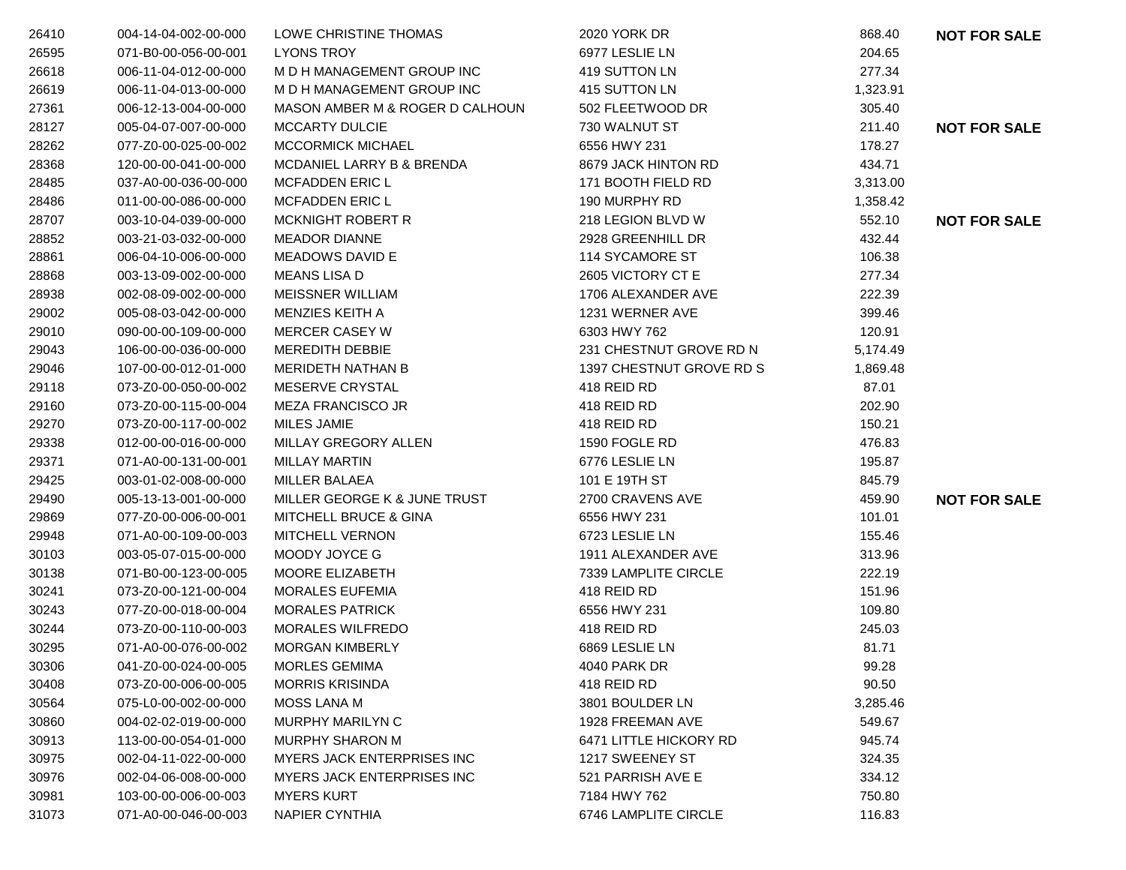| 26410 | 004-14-04-002-00-000 | LOWE CHRISTINE THOMAS             | 2020 YORK DR             | 868.40   | <b>NOT FOR SALE</b> |
|-------|----------------------|-----------------------------------|--------------------------|----------|---------------------|
| 26595 | 071-B0-00-056-00-001 | <b>LYONS TROY</b>                 | 6977 LESLIE LN           | 204.65   |                     |
| 26618 | 006-11-04-012-00-000 | M D H MANAGEMENT GROUP INC        | 419 SUTTON LN            | 277.34   |                     |
| 26619 | 006-11-04-013-00-000 | M D H MANAGEMENT GROUP INC        | 415 SUTTON LN            | 1,323.91 |                     |
| 27361 | 006-12-13-004-00-000 | MASON AMBER M & ROGER D CALHOUN   | 502 FLEETWOOD DR         | 305.40   |                     |
| 28127 | 005-04-07-007-00-000 | <b>MCCARTY DULCIE</b>             | 730 WALNUT ST            | 211.40   | <b>NOT FOR SALE</b> |
| 28262 | 077-Z0-00-025-00-002 | <b>MCCORMICK MICHAEL</b>          | 6556 HWY 231             | 178.27   |                     |
| 28368 | 120-00-00-041-00-000 | MCDANIEL LARRY B & BRENDA         | 8679 JACK HINTON RD      | 434.71   |                     |
| 28485 | 037-A0-00-036-00-000 | <b>MCFADDEN ERIC L</b>            | 171 BOOTH FIELD RD       | 3,313.00 |                     |
| 28486 | 011-00-00-086-00-000 | <b>MCFADDEN ERIC L</b>            | 190 MURPHY RD            | 1,358.42 |                     |
| 28707 | 003-10-04-039-00-000 | <b>MCKNIGHT ROBERT R</b>          | 218 LEGION BLVD W        | 552.10   | <b>NOT FOR SALE</b> |
| 28852 | 003-21-03-032-00-000 | <b>MEADOR DIANNE</b>              | 2928 GREENHILL DR        | 432.44   |                     |
| 28861 | 006-04-10-006-00-000 | <b>MEADOWS DAVID E</b>            | 114 SYCAMORE ST          | 106.38   |                     |
| 28868 | 003-13-09-002-00-000 | <b>MEANS LISA D</b>               | 2605 VICTORY CT E        | 277.34   |                     |
| 28938 | 002-08-09-002-00-000 | <b>MEISSNER WILLIAM</b>           | 1706 ALEXANDER AVE       | 222.39   |                     |
| 29002 | 005-08-03-042-00-000 | MENZIES KEITH A                   | 1231 WERNER AVE          | 399.46   |                     |
| 29010 | 090-00-00-109-00-000 | <b>MERCER CASEY W</b>             | 6303 HWY 762             | 120.91   |                     |
| 29043 | 106-00-00-036-00-000 | <b>MEREDITH DEBBIE</b>            | 231 CHESTNUT GROVE RD N  | 5,174.49 |                     |
| 29046 | 107-00-00-012-01-000 | <b>MERIDETH NATHAN B</b>          | 1397 CHESTNUT GROVE RD S | 1,869.48 |                     |
| 29118 | 073-Z0-00-050-00-002 | MESERVE CRYSTAL                   | 418 REID RD              | 87.01    |                     |
| 29160 | 073-Z0-00-115-00-004 | <b>MEZA FRANCISCO JR</b>          | 418 REID RD              | 202.90   |                     |
| 29270 | 073-Z0-00-117-00-002 | MILES JAMIE                       | 418 REID RD              | 150.21   |                     |
| 29338 | 012-00-00-016-00-000 | MILLAY GREGORY ALLEN              | 1590 FOGLE RD            | 476.83   |                     |
| 29371 | 071-A0-00-131-00-001 | <b>MILLAY MARTIN</b>              | 6776 LESLIE LN           | 195.87   |                     |
| 29425 | 003-01-02-008-00-000 | <b>MILLER BALAEA</b>              | 101 E 19TH ST            | 845.79   |                     |
| 29490 | 005-13-13-001-00-000 | MILLER GEORGE K & JUNE TRUST      | 2700 CRAVENS AVE         | 459.90   | <b>NOT FOR SALE</b> |
| 29869 | 077-Z0-00-006-00-001 | MITCHELL BRUCE & GINA             | 6556 HWY 231             | 101.01   |                     |
| 29948 | 071-A0-00-109-00-003 | <b>MITCHELL VERNON</b>            | 6723 LESLIE LN           | 155.46   |                     |
| 30103 | 003-05-07-015-00-000 | MOODY JOYCE G                     | 1911 ALEXANDER AVE       | 313.96   |                     |
| 30138 | 071-B0-00-123-00-005 | MOORE ELIZABETH                   | 7339 LAMPLITE CIRCLE     | 222.19   |                     |
| 30241 | 073-Z0-00-121-00-004 | <b>MORALES EUFEMIA</b>            | 418 REID RD              | 151.96   |                     |
| 30243 | 077-Z0-00-018-00-004 | <b>MORALES PATRICK</b>            | 6556 HWY 231             | 109.80   |                     |
| 30244 | 073-Z0-00-110-00-003 | MORALES WILFREDO                  | 418 REID RD              | 245.03   |                     |
| 30295 | 071-A0-00-076-00-002 | <b>MORGAN KIMBERLY</b>            | 6869 LESLIE LN           | 81.71    |                     |
| 30306 | 041-Z0-00-024-00-005 | MORLES GEMIMA                     | 4040 PARK DR             | 99.28    |                     |
| 30408 | 073-Z0-00-006-00-005 | <b>MORRIS KRISINDA</b>            | 418 REID RD              | 90.50    |                     |
| 30564 | 075-L0-00-002-00-000 | <b>MOSS LANA M</b>                | 3801 BOULDER LN          | 3,285.46 |                     |
| 30860 | 004-02-02-019-00-000 | MURPHY MARILYN C                  | 1928 FREEMAN AVE         | 549.67   |                     |
| 30913 | 113-00-00-054-01-000 | <b>MURPHY SHARON M</b>            | 6471 LITTLE HICKORY RD   | 945.74   |                     |
| 30975 | 002-04-11-022-00-000 | <b>MYERS JACK ENTERPRISES INC</b> | 1217 SWEENEY ST          | 324.35   |                     |
| 30976 | 002-04-06-008-00-000 | <b>MYERS JACK ENTERPRISES INC</b> | 521 PARRISH AVE E        | 334.12   |                     |
| 30981 | 103-00-00-006-00-003 | <b>MYERS KURT</b>                 | 7184 HWY 762             | 750.80   |                     |
| 31073 | 071-A0-00-046-00-003 | NAPIER CYNTHIA                    | 6746 LAMPLITE CIRCLE     | 116.83   |                     |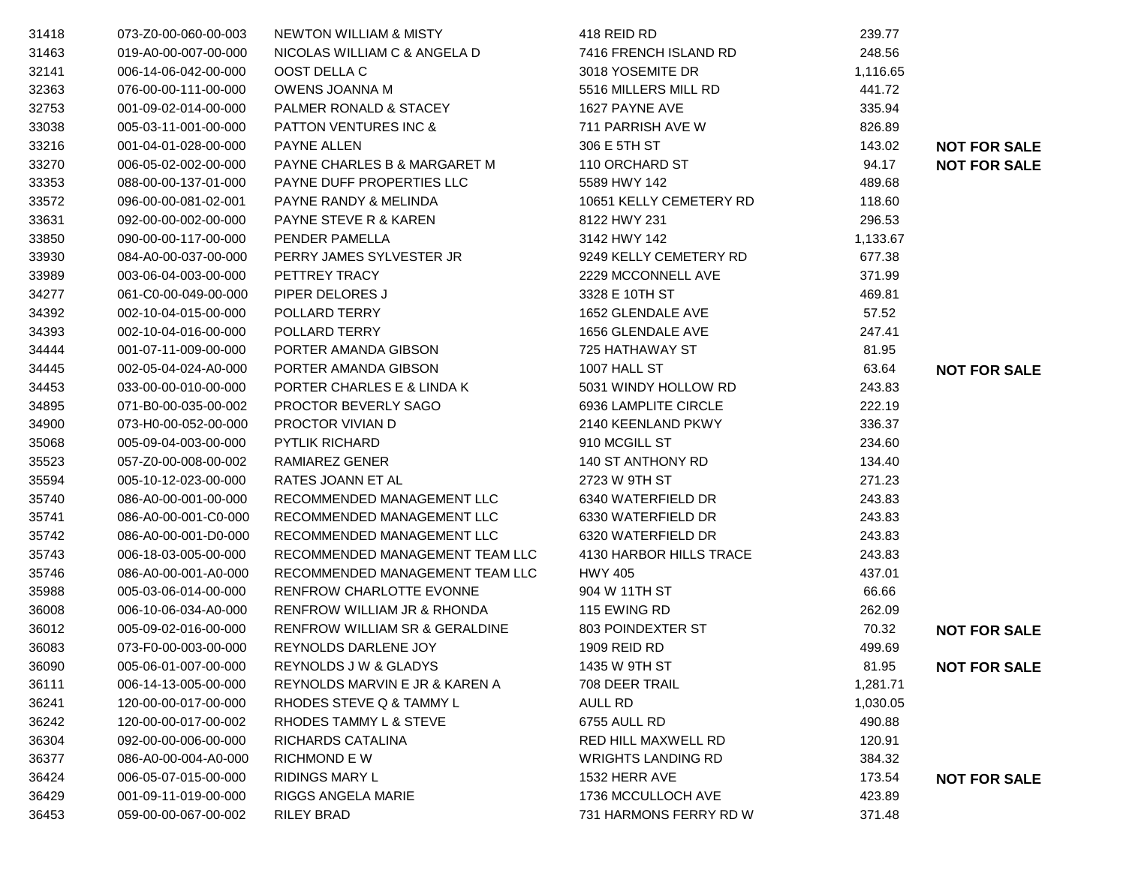| 31418 | 073-Z0-00-060-00-003 | <b>NEWTON WILLIAM &amp; MISTY</b> | 418 REID RD                | 239.77   |                     |
|-------|----------------------|-----------------------------------|----------------------------|----------|---------------------|
| 31463 | 019-A0-00-007-00-000 | NICOLAS WILLIAM C & ANGELA D      | 7416 FRENCH ISLAND RD      | 248.56   |                     |
| 32141 | 006-14-06-042-00-000 | OOST DELLA C                      | 3018 YOSEMITE DR           | 1,116.65 |                     |
| 32363 | 076-00-00-111-00-000 | OWENS JOANNA M                    | 5516 MILLERS MILL RD       | 441.72   |                     |
| 32753 | 001-09-02-014-00-000 | PALMER RONALD & STACEY            | 1627 PAYNE AVE             | 335.94   |                     |
| 33038 | 005-03-11-001-00-000 | <b>PATTON VENTURES INC &amp;</b>  | 711 PARRISH AVE W          | 826.89   |                     |
| 33216 | 001-04-01-028-00-000 | PAYNE ALLEN                       | 306 E 5TH ST               | 143.02   | <b>NOT FOR SALE</b> |
| 33270 | 006-05-02-002-00-000 | PAYNE CHARLES B & MARGARET M      | 110 ORCHARD ST             | 94.17    | <b>NOT FOR SALE</b> |
| 33353 | 088-00-00-137-01-000 | PAYNE DUFF PROPERTIES LLC         | 5589 HWY 142               | 489.68   |                     |
| 33572 | 096-00-00-081-02-001 | PAYNE RANDY & MELINDA             | 10651 KELLY CEMETERY RD    | 118.60   |                     |
| 33631 | 092-00-00-002-00-000 | <b>PAYNE STEVE R &amp; KAREN</b>  | 8122 HWY 231               | 296.53   |                     |
| 33850 | 090-00-00-117-00-000 | PENDER PAMELLA                    | 3142 HWY 142               | 1,133.67 |                     |
| 33930 | 084-A0-00-037-00-000 | PERRY JAMES SYLVESTER JR          | 9249 KELLY CEMETERY RD     | 677.38   |                     |
| 33989 | 003-06-04-003-00-000 | PETTREY TRACY                     | 2229 MCCONNELL AVE         | 371.99   |                     |
| 34277 | 061-C0-00-049-00-000 | PIPER DELORES J                   | 3328 E 10TH ST             | 469.81   |                     |
| 34392 | 002-10-04-015-00-000 | POLLARD TERRY                     | 1652 GLENDALE AVE          | 57.52    |                     |
| 34393 | 002-10-04-016-00-000 | POLLARD TERRY                     | 1656 GLENDALE AVE          | 247.41   |                     |
| 34444 | 001-07-11-009-00-000 | PORTER AMANDA GIBSON              | 725 HATHAWAY ST            | 81.95    |                     |
| 34445 | 002-05-04-024-A0-000 | PORTER AMANDA GIBSON              | 1007 HALL ST               | 63.64    | <b>NOT FOR SALE</b> |
| 34453 | 033-00-00-010-00-000 | PORTER CHARLES E & LINDA K        | 5031 WINDY HOLLOW RD       | 243.83   |                     |
| 34895 | 071-B0-00-035-00-002 | PROCTOR BEVERLY SAGO              | 6936 LAMPLITE CIRCLE       | 222.19   |                     |
| 34900 | 073-H0-00-052-00-000 | PROCTOR VIVIAN D                  | 2140 KEENLAND PKWY         | 336.37   |                     |
| 35068 | 005-09-04-003-00-000 | <b>PYTLIK RICHARD</b>             | 910 MCGILL ST              | 234.60   |                     |
| 35523 | 057-Z0-00-008-00-002 | RAMIAREZ GENER                    | 140 ST ANTHONY RD          | 134.40   |                     |
| 35594 | 005-10-12-023-00-000 | RATES JOANN ET AL                 | 2723 W 9TH ST              | 271.23   |                     |
| 35740 | 086-A0-00-001-00-000 | RECOMMENDED MANAGEMENT LLC        | 6340 WATERFIELD DR         | 243.83   |                     |
| 35741 | 086-A0-00-001-C0-000 | RECOMMENDED MANAGEMENT LLC        | 6330 WATERFIELD DR         | 243.83   |                     |
| 35742 | 086-A0-00-001-D0-000 | RECOMMENDED MANAGEMENT LLC        | 6320 WATERFIELD DR         | 243.83   |                     |
| 35743 | 006-18-03-005-00-000 | RECOMMENDED MANAGEMENT TEAM LLC   | 4130 HARBOR HILLS TRACE    | 243.83   |                     |
| 35746 | 086-A0-00-001-A0-000 | RECOMMENDED MANAGEMENT TEAM LLC   | <b>HWY 405</b>             | 437.01   |                     |
| 35988 | 005-03-06-014-00-000 | <b>RENFROW CHARLOTTE EVONNE</b>   | 904 W 11TH ST              | 66.66    |                     |
| 36008 | 006-10-06-034-A0-000 | RENFROW WILLIAM JR & RHONDA       | 115 EWING RD               | 262.09   |                     |
| 36012 | 005-09-02-016-00-000 | RENFROW WILLIAM SR & GERALDINE    | 803 POINDEXTER ST          | 70.32    | <b>NOT FOR SALE</b> |
| 36083 | 073-F0-00-003-00-000 | REYNOLDS DARLENE JOY              | 1909 REID RD               | 499.69   |                     |
| 36090 | 005-06-01-007-00-000 | REYNOLDS J W & GLADYS             | 1435 W 9TH ST              | 81.95    | <b>NOT FOR SALE</b> |
| 36111 | 006-14-13-005-00-000 | REYNOLDS MARVIN E JR & KAREN A    | 708 DEER TRAIL             | 1,281.71 |                     |
| 36241 | 120-00-00-017-00-000 | RHODES STEVE Q & TAMMY L          | AULL RD                    | 1,030.05 |                     |
| 36242 | 120-00-00-017-00-002 | RHODES TAMMY L & STEVE            | <b>6755 AULL RD</b>        | 490.88   |                     |
| 36304 | 092-00-00-006-00-000 | RICHARDS CATALINA                 | <b>RED HILL MAXWELL RD</b> | 120.91   |                     |
| 36377 | 086-A0-00-004-A0-000 | <b>RICHMOND E W</b>               | <b>WRIGHTS LANDING RD</b>  | 384.32   |                     |
| 36424 | 006-05-07-015-00-000 | <b>RIDINGS MARY L</b>             | 1532 HERR AVE              | 173.54   | <b>NOT FOR SALE</b> |
| 36429 | 001-09-11-019-00-000 | <b>RIGGS ANGELA MARIE</b>         | 1736 MCCULLOCH AVE         | 423.89   |                     |
| 36453 | 059-00-00-067-00-002 | <b>RILEY BRAD</b>                 | 731 HARMONS FERRY RD W     | 371.48   |                     |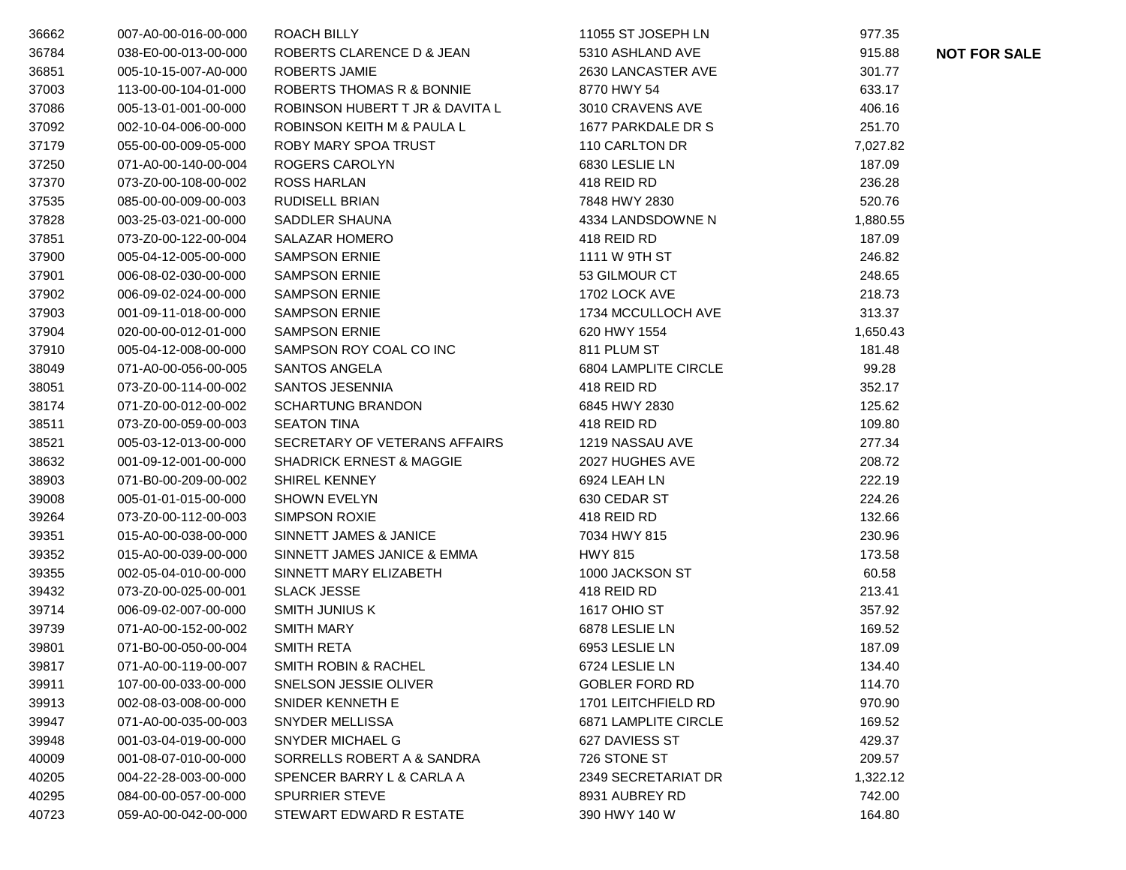| 36662 | 007-A0-00-016-00-000 | ROACH BILLY                         | 11055 ST JOSEPH LN          | 977.35   |                     |
|-------|----------------------|-------------------------------------|-----------------------------|----------|---------------------|
| 36784 | 038-E0-00-013-00-000 | ROBERTS CLARENCE D & JEAN           | 5310 ASHLAND AVE            | 915.88   | <b>NOT FOR SALE</b> |
| 36851 | 005-10-15-007-A0-000 | ROBERTS JAMIE                       | 2630 LANCASTER AVE          | 301.77   |                     |
| 37003 | 113-00-00-104-01-000 | ROBERTS THOMAS R & BONNIE           | 8770 HWY 54                 | 633.17   |                     |
| 37086 | 005-13-01-001-00-000 | ROBINSON HUBERT T JR & DAVITA L     | 3010 CRAVENS AVE            | 406.16   |                     |
| 37092 | 002-10-04-006-00-000 | ROBINSON KEITH M & PAULA L          | 1677 PARKDALE DR S          | 251.70   |                     |
| 37179 | 055-00-00-009-05-000 | ROBY MARY SPOA TRUST                | 110 CARLTON DR              | 7,027.82 |                     |
| 37250 | 071-A0-00-140-00-004 | ROGERS CAROLYN                      | 6830 LESLIE LN              | 187.09   |                     |
| 37370 | 073-Z0-00-108-00-002 | <b>ROSS HARLAN</b>                  | 418 REID RD                 | 236.28   |                     |
| 37535 | 085-00-00-009-00-003 | RUDISELL BRIAN                      | 7848 HWY 2830               | 520.76   |                     |
| 37828 | 003-25-03-021-00-000 | SADDLER SHAUNA                      | 4334 LANDSDOWNE N           | 1,880.55 |                     |
| 37851 | 073-Z0-00-122-00-004 | <b>SALAZAR HOMERO</b>               | 418 REID RD                 | 187.09   |                     |
| 37900 | 005-04-12-005-00-000 | <b>SAMPSON ERNIE</b>                | 1111 W 9TH ST               | 246.82   |                     |
| 37901 | 006-08-02-030-00-000 | <b>SAMPSON ERNIE</b>                | 53 GILMOUR CT               | 248.65   |                     |
| 37902 | 006-09-02-024-00-000 | <b>SAMPSON ERNIE</b>                | 1702 LOCK AVE               | 218.73   |                     |
| 37903 | 001-09-11-018-00-000 | <b>SAMPSON ERNIE</b>                | 1734 MCCULLOCH AVE          | 313.37   |                     |
| 37904 | 020-00-00-012-01-000 | <b>SAMPSON ERNIE</b>                | 620 HWY 1554                | 1,650.43 |                     |
| 37910 | 005-04-12-008-00-000 | SAMPSON ROY COAL CO INC             | 811 PLUM ST                 | 181.48   |                     |
| 38049 | 071-A0-00-056-00-005 | <b>SANTOS ANGELA</b>                | 6804 LAMPLITE CIRCLE        | 99.28    |                     |
| 38051 | 073-Z0-00-114-00-002 | SANTOS JESENNIA                     | 418 REID RD                 | 352.17   |                     |
| 38174 | 071-Z0-00-012-00-002 | <b>SCHARTUNG BRANDON</b>            | 6845 HWY 2830               | 125.62   |                     |
| 38511 | 073-Z0-00-059-00-003 | <b>SEATON TINA</b>                  | 418 REID RD                 | 109.80   |                     |
| 38521 | 005-03-12-013-00-000 | SECRETARY OF VETERANS AFFAIRS       | 1219 NASSAU AVE             | 277.34   |                     |
| 38632 | 001-09-12-001-00-000 | <b>SHADRICK ERNEST &amp; MAGGIE</b> | 2027 HUGHES AVE             | 208.72   |                     |
| 38903 | 071-B0-00-209-00-002 | <b>SHIREL KENNEY</b>                | 6924 LEAH LN                | 222.19   |                     |
| 39008 | 005-01-01-015-00-000 | <b>SHOWN EVELYN</b>                 | 630 CEDAR ST                | 224.26   |                     |
| 39264 | 073-Z0-00-112-00-003 | <b>SIMPSON ROXIE</b>                | 418 REID RD                 | 132.66   |                     |
| 39351 | 015-A0-00-038-00-000 | <b>SINNETT JAMES &amp; JANICE</b>   | 7034 HWY 815                | 230.96   |                     |
| 39352 | 015-A0-00-039-00-000 | SINNETT JAMES JANICE & EMMA         | <b>HWY 815</b>              | 173.58   |                     |
| 39355 | 002-05-04-010-00-000 | SINNETT MARY ELIZABETH              | 1000 JACKSON ST             | 60.58    |                     |
| 39432 | 073-Z0-00-025-00-001 | <b>SLACK JESSE</b>                  | 418 REID RD                 | 213.41   |                     |
| 39714 | 006-09-02-007-00-000 | <b>SMITH JUNIUS K</b>               | 1617 OHIO ST                | 357.92   |                     |
| 39739 | 071-A0-00-152-00-002 | <b>SMITH MARY</b>                   | 6878 LESLIE LN              | 169.52   |                     |
| 39801 | 071-B0-00-050-00-004 | <b>SMITH RETA</b>                   | 6953 LESLIE LN              | 187.09   |                     |
| 39817 | 071-A0-00-119-00-007 | <b>SMITH ROBIN &amp; RACHEL</b>     | 6724 LESLIE LN              | 134.40   |                     |
| 39911 | 107-00-00-033-00-000 | SNELSON JESSIE OLIVER               | <b>GOBLER FORD RD</b>       | 114.70   |                     |
| 39913 | 002-08-03-008-00-000 | SNIDER KENNETH E                    | 1701 LEITCHFIELD RD         | 970.90   |                     |
| 39947 | 071-A0-00-035-00-003 | SNYDER MELLISSA                     | <b>6871 LAMPLITE CIRCLE</b> | 169.52   |                     |
| 39948 | 001-03-04-019-00-000 | SNYDER MICHAEL G                    | 627 DAVIESS ST              | 429.37   |                     |
| 40009 | 001-08-07-010-00-000 | SORRELLS ROBERT A & SANDRA          | 726 STONE ST                | 209.57   |                     |
| 40205 | 004-22-28-003-00-000 | SPENCER BARRY L & CARLA A           | 2349 SECRETARIAT DR         | 1,322.12 |                     |
| 40295 | 084-00-00-057-00-000 | <b>SPURRIER STEVE</b>               | 8931 AUBREY RD              | 742.00   |                     |
| 40723 | 059-A0-00-042-00-000 | STEWART EDWARD R ESTATE             | 390 HWY 140 W               | 164.80   |                     |